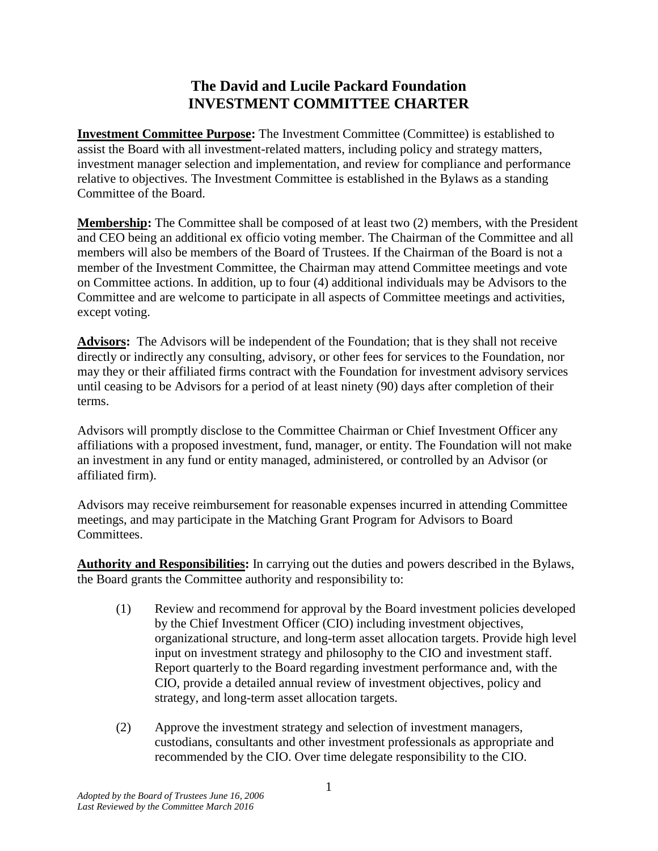## **The David and Lucile Packard Foundation INVESTMENT COMMITTEE CHARTER**

**Investment Committee Purpose:** The Investment Committee (Committee) is established to assist the Board with all investment-related matters, including policy and strategy matters, investment manager selection and implementation, and review for compliance and performance relative to objectives. The Investment Committee is established in the Bylaws as a standing Committee of the Board.

**Membership:** The Committee shall be composed of at least two (2) members, with the President and CEO being an additional ex officio voting member. The Chairman of the Committee and all members will also be members of the Board of Trustees. If the Chairman of the Board is not a member of the Investment Committee, the Chairman may attend Committee meetings and vote on Committee actions. In addition, up to four (4) additional individuals may be Advisors to the Committee and are welcome to participate in all aspects of Committee meetings and activities, except voting.

**Advisors:**The Advisors will be independent of the Foundation; that is they shall not receive directly or indirectly any consulting, advisory, or other fees for services to the Foundation, nor may they or their affiliated firms contract with the Foundation for investment advisory services until ceasing to be Advisors for a period of at least ninety (90) days after completion of their terms.

Advisors will promptly disclose to the Committee Chairman or Chief Investment Officer any affiliations with a proposed investment, fund, manager, or entity. The Foundation will not make an investment in any fund or entity managed, administered, or controlled by an Advisor (or affiliated firm).

Advisors may receive reimbursement for reasonable expenses incurred in attending Committee meetings, and may participate in the Matching Grant Program for Advisors to Board Committees.

**Authority and Responsibilities:** In carrying out the duties and powers described in the Bylaws, the Board grants the Committee authority and responsibility to:

- (1) Review and recommend for approval by the Board investment policies developed by the Chief Investment Officer (CIO) including investment objectives, organizational structure, and long-term asset allocation targets. Provide high level input on investment strategy and philosophy to the CIO and investment staff. Report quarterly to the Board regarding investment performance and, with the CIO, provide a detailed annual review of investment objectives, policy and strategy, and long-term asset allocation targets.
- (2) Approve the investment strategy and selection of investment managers, custodians, consultants and other investment professionals as appropriate and recommended by the CIO. Over time delegate responsibility to the CIO.